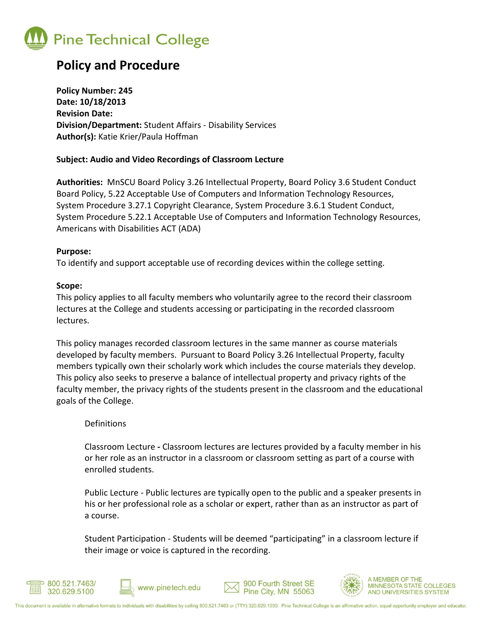

### **Policy and Procedure**

**Policy Number: 245 Date: 10/18/2013 Revision Date: Division/Department:** Student Affairs - Disability Services **Author(s):** Katie Krier/Paula Hoffman

#### **Subject: Audio and Video Recordings of Classroom Lecture**

**Authorities:** MnSCU Board Policy 3.26 Intellectual Property, Board Policy 3.6 Student Conduct Board Policy, 5.22 Acceptable Use of Computers and Information Technology Resources, System Procedure 3.27.1 Copyright Clearance, System Procedure 3.6.1 Student Conduct, System Procedure 5.22.1 Acceptable Use of Computers and Information Technology Resources, Americans with Disabilities ACT (ADA)

#### **Purpose:**

To identify and support acceptable use of recording devices within the college setting.

#### **Scope:**

This policy applies to all faculty members who voluntarily agree to the record their classroom lectures at the College and students accessing or participating in the recorded classroom lectures.

This policy manages recorded classroom lectures in the same manner as course materials developed by faculty members. Pursuant to Board Policy 3.26 Intellectual Property, faculty members typically own their scholarly work which includes the course materials they develop. This policy also seeks to preserve a balance of intellectual property and privacy rights of the faculty member, the privacy rights of the students present in the classroom and the educational goals of the College.

#### **Definitions**

Classroom Lecture **-** Classroom lectures are lectures provided by a faculty member in his or her role as an instructor in a classroom or classroom setting as part of a course with enrolled students.

Public Lecture - Public lectures are typically open to the public and a speaker presents in his or her professional role as a scholar or expert, rather than as an instructor as part of a course.

Student Participation - Students will be deemed "participating" in a classroom lecture if their image or voice is captured in the recording.









**MEMBER OF THE MINNESOTA STATE COLLEGES** AND UNIVERSITIES SYSTEM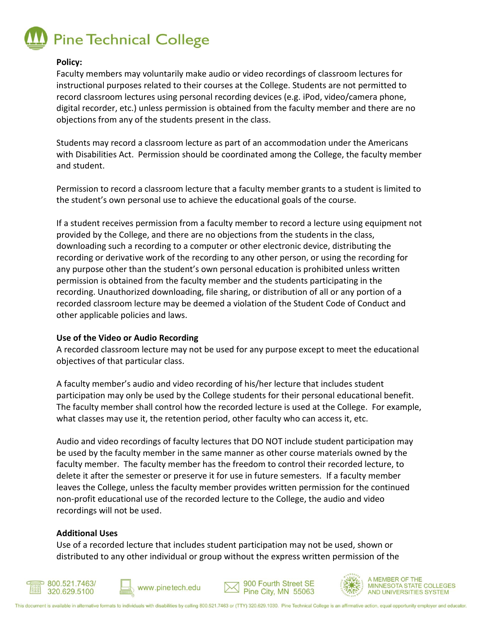# **Pine Technical College**

#### **Policy:**

Faculty members may voluntarily make audio or video recordings of classroom lectures for instructional purposes related to their courses at the College. Students are not permitted to record classroom lectures using personal recording devices (e.g. iPod, video/camera phone, digital recorder, etc.) unless permission is obtained from the faculty member and there are no objections from any of the students present in the class.

Students may record a classroom lecture as part of an accommodation under the Americans with Disabilities Act. Permission should be coordinated among the College, the faculty member and student.

Permission to record a classroom lecture that a faculty member grants to a student is limited to the student's own personal use to achieve the educational goals of the course.

If a student receives permission from a faculty member to record a lecture using equipment not provided by the College, and there are no objections from the students in the class, downloading such a recording to a computer or other electronic device, distributing the recording or derivative work of the recording to any other person, or using the recording for any purpose other than the student's own personal education is prohibited unless written permission is obtained from the faculty member and the students participating in the recording. Unauthorized downloading, file sharing, or distribution of all or any portion of a recorded classroom lecture may be deemed a violation of the Student Code of Conduct and other applicable policies and laws.

#### **Use of the Video or Audio Recording**

A recorded classroom lecture may not be used for any purpose except to meet the educational objectives of that particular class.

A faculty member's audio and video recording of his/her lecture that includes student participation may only be used by the College students for their personal educational benefit. The faculty member shall control how the recorded lecture is used at the College. For example, what classes may use it, the retention period, other faculty who can access it, etc.

Audio and video recordings of faculty lectures that DO NOT include student participation may be used by the faculty member in the same manner as other course materials owned by the faculty member. The faculty member has the freedom to control their recorded lecture, to delete it after the semester or preserve it for use in future semesters. If a faculty member leaves the College, unless the faculty member provides written permission for the continued non-profit educational use of the recorded lecture to the College, the audio and video recordings will not be used.

#### **Additional Uses**

Use of a recorded lecture that includes student participation may not be used, shown or distributed to any other individual or group without the express written permission of the









**MEMBER OF THE MINNESOTA STATE COLLEGES** AND UNIVERSITIES SYSTEM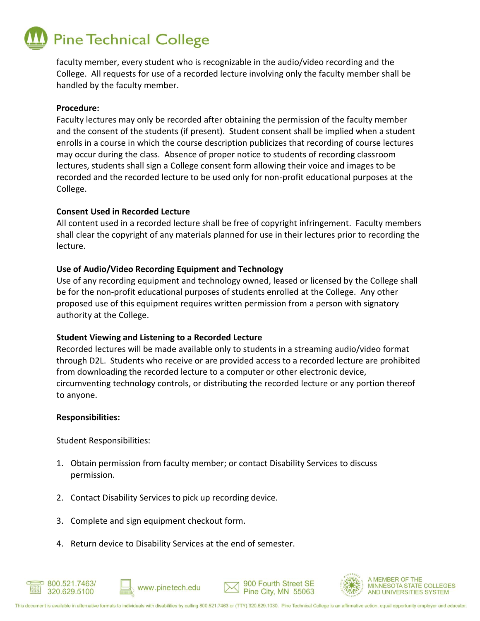## **Pine Technical College**

faculty member, every student who is recognizable in the audio/video recording and the College. All requests for use of a recorded lecture involving only the faculty member shall be handled by the faculty member.

#### **Procedure:**

Faculty lectures may only be recorded after obtaining the permission of the faculty member and the consent of the students (if present). Student consent shall be implied when a student enrolls in a course in which the course description publicizes that recording of course lectures may occur during the class. Absence of proper notice to students of recording classroom lectures, students shall sign a College consent form allowing their voice and images to be recorded and the recorded lecture to be used only for non-profit educational purposes at the College.

#### **Consent Used in Recorded Lecture**

All content used in a recorded lecture shall be free of copyright infringement. Faculty members shall clear the copyright of any materials planned for use in their lectures prior to recording the lecture.

#### **Use of Audio/Video Recording Equipment and Technology**

Use of any recording equipment and technology owned, leased or licensed by the College shall be for the non-profit educational purposes of students enrolled at the College. Any other proposed use of this equipment requires written permission from a person with signatory authority at the College.

#### **Student Viewing and Listening to a Recorded Lecture**

Recorded lectures will be made available only to students in a streaming audio/video format through D2L. Students who receive or are provided access to a recorded lecture are prohibited from downloading the recorded lecture to a computer or other electronic device, circumventing technology controls, or distributing the recorded lecture or any portion thereof to anyone.

#### **Responsibilities:**

□ 800.521.7463/

320.629.5100

Student Responsibilities:

- 1. Obtain permission from faculty member; or contact Disability Services to discuss permission.
- 2. Contact Disability Services to pick up recording device.
- 3. Complete and sign equipment checkout form.
- 4. Return device to Disability Services at the end of semester.

www.pinetech.edu



**MEMBER OF THE MINNESOTA STATE COLLEGES** AND UNIVERSITIES SYSTEM

900 Fourth Street SE

Pine City, MN 55063